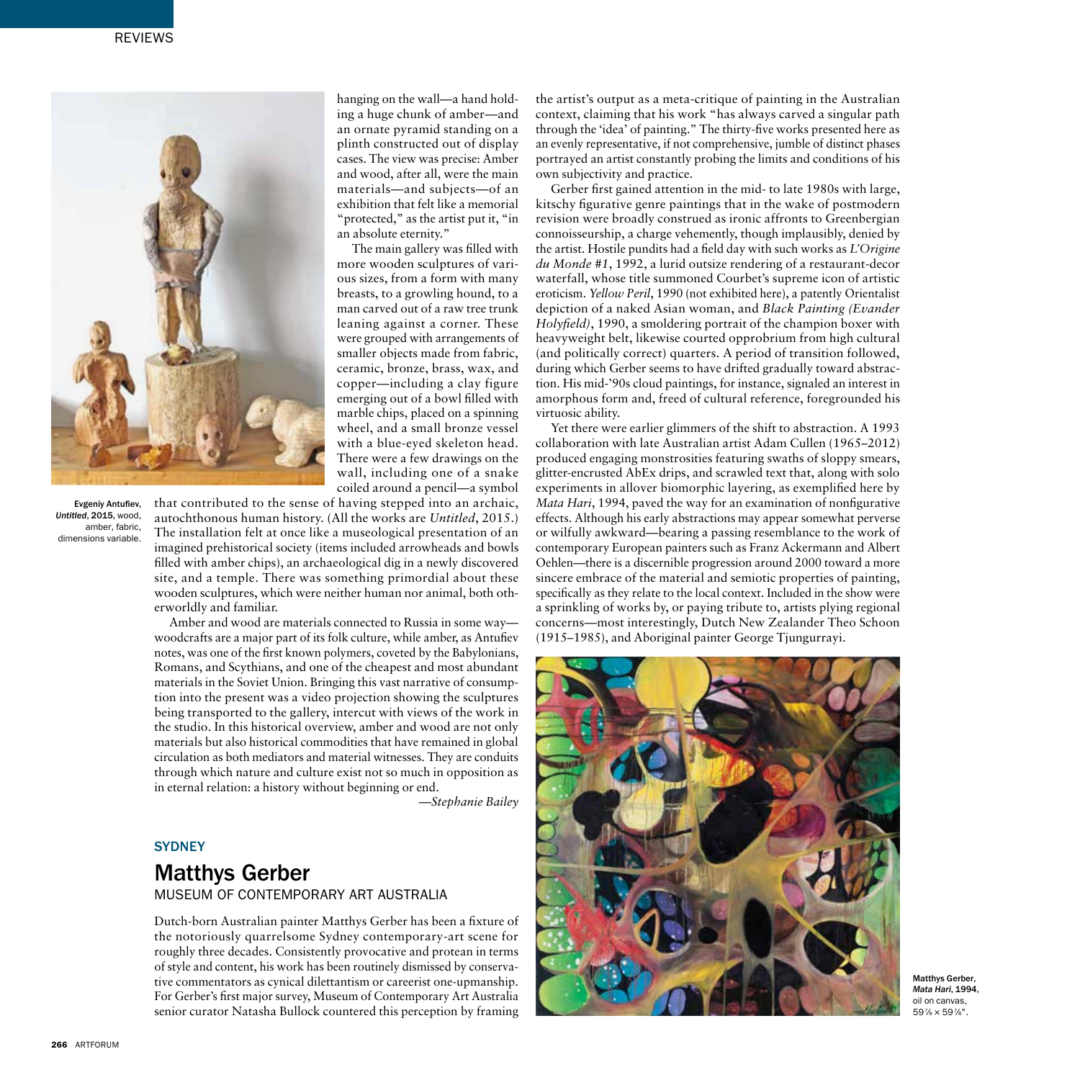

Evgeniy Antufiev, *Untitled*, 2015, wood, amber, fabric, dimensions variable.

smaller objects made from fabric, ceramic, bronze, brass, wax, and copper—including a clay figure emerging out of a bowl filled with marble chips, placed on a spinning wheel, and a small bronze vessel with a blue-eyed skeleton head. There were a few drawings on the wall, including one of a snake coiled around a pencil—a symbol that contributed to the sense of having stepped into an archaic,

hanging on the wall—a hand holding a huge chunk of amber—and an ornate pyramid standing on a plinth constructed out of display cases. The view was precise: Amber and wood, after all, were the main materials—and subjects—of an exhibition that felt like a memorial "protected," as the artist put it, "in

The main gallery was filled with more wooden sculptures of various sizes, from a form with many breasts, to a growling hound, to a man carved out of a raw tree trunk leaning against a corner. These were grouped with arrangements of

an absolute eternity."

autochthonous human history. (All the works are *Untitled*, 2015.) The installation felt at once like a museological presentation of an imagined prehistorical society (items included arrowheads and bowls filled with amber chips), an archaeological dig in a newly discovered site, and a temple. There was something primordial about these wooden sculptures, which were neither human nor animal, both otherworldly and familiar.

Amber and wood are materials connected to Russia in some way woodcrafts are a major part of its folk culture, while amber, as Antufiev notes, was one of the first known polymers, coveted by the Babylonians, Romans, and Scythians, and one of the cheapest and most abundant materials in the Soviet Union. Bringing this vast narrative of consumption into the present was a video projection showing the sculptures being transported to the gallery, intercut with views of the work in the studio. In this historical overview, amber and wood are not only materials but also historical commodities that have remained in global circulation as both mediators and material witnesses. They are conduits through which nature and culture exist not so much in opposition as in eternal relation: a history without beginning or end.

*—Stephanie Bailey*

## **SYDNEY**

## Matthys Gerber

MUSEUM OF CONTEMPORARY ART AUSTRALIA

Dutch-born Australian painter Matthys Gerber has been a fixture of the notoriously quarrelsome Sydney contemporary-art scene for roughly three decades. Consistently provocative and protean in terms of style and content, his work has been routinely dismissed by conservative commentators as cynical dilettantism or careerist one-upmanship. For Gerber's first major survey, Museum of Contemporary Art Australia senior curator Natasha Bullock countered this perception by framing

the artist's output as a meta-critique of painting in the Australian context, claiming that his work "has always carved a singular path through the 'idea' of painting." The thirty-five works presented here as an evenly representative, if not comprehensive, jumble of distinct phases portrayed an artist constantly probing the limits and conditions of his own subjectivity and practice.

Gerber first gained attention in the mid- to late 1980s with large, kitschy figurative genre paintings that in the wake of postmodern revision were broadly construed as ironic affronts to Greenbergian connoisseurship, a charge vehemently, though implausibly, denied by the artist. Hostile pundits had a field day with such works as *L'Origine du Monde #1*, 1992, a lurid outsize rendering of a restaurant-decor waterfall, whose title summoned Courbet's supreme icon of artistic eroticism. *Yellow Peril*, 1990 (not exhibited here), a patently Orientalist depiction of a naked Asian woman, and *Black Painting (Evander Holyfield)*, 1990, a smoldering portrait of the champion boxer with heavyweight belt, likewise courted opprobrium from high cultural (and politically correct) quarters. A period of transition followed, during which Gerber seems to have drifted gradually toward abstraction. His mid-'90s cloud paintings, for instance, signaled an interest in amorphous form and, freed of cultural reference, foregrounded his virtuosic ability.

Yet there were earlier glimmers of the shift to abstraction. A 1993 collaboration with late Australian artist Adam Cullen (1965–2012) produced engaging monstrosities featuring swaths of sloppy smears, glitter-encrusted AbEx drips, and scrawled text that, along with solo experiments in allover biomorphic layering, as exemplified here by *Mata Hari*, 1994, paved the way for an examination of nonfigurative effects. Although his early abstractions may appear somewhat perverse or wilfully awkward—bearing a passing resemblance to the work of contemporary European painters such as Franz Ackermann and Albert Oehlen—there is a discernible progression around 2000 toward a more sincere embrace of the material and semiotic properties of painting, specifically as they relate to the local context. Included in the show were a sprinkling of works by, or paying tribute to, artists plying regional concerns—most interestingly, Dutch New Zealander Theo Schoon (1915–1985), and Aboriginal painter George Tjungurrayi.



Matthys Gerber, *Mata Hari*, 1994, oil on canvas, 597 ⁄8 × 597 ⁄8".